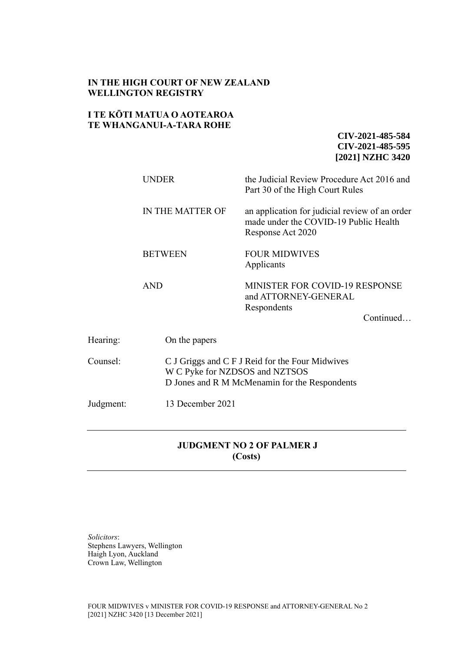## **IN THE HIGH COURT OF NEW ZEALAND WELLINGTON REGISTRY**

## **I TE KŌTI MATUA O AOTEAROA TE WHANGANUI-A-TARA ROHE**

**CIV-2021-485-584 CIV-2021-485-595 [2021] NZHC 3420**

|           | <b>UNDER</b>     | the Judicial Review Procedure Act 2016 and<br>Part 30 of the High Court Rules                                                      |  |
|-----------|------------------|------------------------------------------------------------------------------------------------------------------------------------|--|
|           | IN THE MATTER OF | an application for judicial review of an order<br>made under the COVID-19 Public Health<br>Response Act 2020                       |  |
|           | <b>BETWEEN</b>   | <b>FOUR MIDWIVES</b><br>Applicants                                                                                                 |  |
|           | <b>AND</b>       | MINISTER FOR COVID-19 RESPONSE<br>and ATTORNEY-GENERAL<br>Respondents<br>Continued                                                 |  |
| Hearing:  | On the papers    |                                                                                                                                    |  |
| Counsel:  |                  | C J Griggs and C F J Reid for the Four Midwives<br>W C Pyke for NZDSOS and NZTSOS<br>D Jones and R M McMenamin for the Respondents |  |
| Judgment: | 13 December 2021 |                                                                                                                                    |  |

# **JUDGMENT NO 2 OF PALMER J (Costs)**

*Solicitors*: Stephens Lawyers, Wellington Haigh Lyon, Auckland Crown Law, Wellington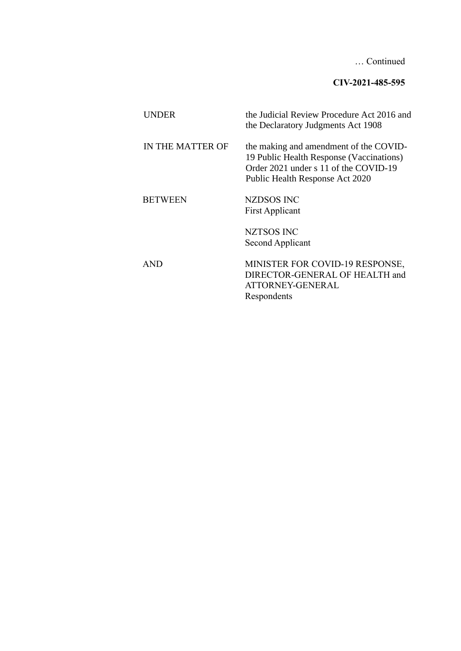… Continued

**CIV-2021-485-595**

| <b>UNDER</b>     | the Judicial Review Procedure Act 2016 and<br>the Declaratory Judgments Act 1908                                                                               |
|------------------|----------------------------------------------------------------------------------------------------------------------------------------------------------------|
| IN THE MATTER OF | the making and amendment of the COVID-<br>19 Public Health Response (Vaccinations)<br>Order 2021 under s 11 of the COVID-19<br>Public Health Response Act 2020 |
| <b>BETWEEN</b>   | NZDSOS INC<br><b>First Applicant</b>                                                                                                                           |
|                  | <b>NZTSOS INC</b><br>Second Applicant                                                                                                                          |
| <b>AND</b>       | MINISTER FOR COVID-19 RESPONSE,<br>DIRECTOR-GENERAL OF HEALTH and<br>ATTORNEY-GENERAL<br>Respondents                                                           |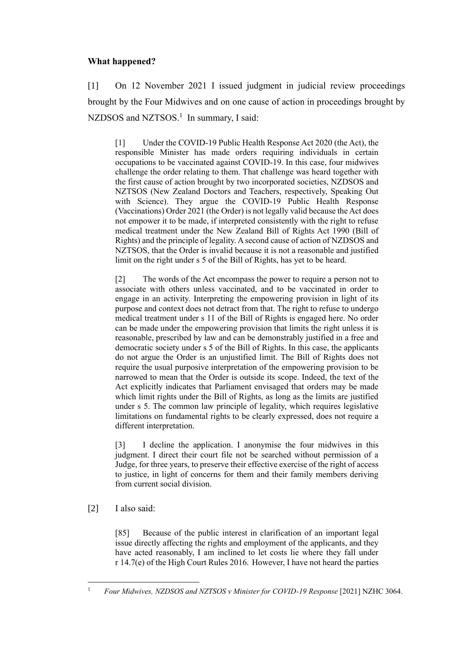## **What happened?**

[1] On 12 November 2021 I issued judgment in judicial review proceedings brought by the Four Midwives and on one cause of action in proceedings brought by NZDSOS and NZTSOS.<sup>1</sup> In summary, I said:

[1] Under the COVID-19 Public Health Response Act 2020 (the Act), the responsible Minister has made orders requiring individuals in certain occupations to be vaccinated against COVID-19. In this case, four midwives challenge the order relating to them. That challenge was heard together with the first cause of action brought by two incorporated societies, NZDSOS and NZTSOS (New Zealand Doctors and Teachers, respectively, Speaking Out with Science). They argue the COVID-19 Public Health Response (Vaccinations) Order 2021 (the Order) is not legally valid because the Act does not empower it to be made, if interpreted consistently with the right to refuse medical treatment under the New Zealand Bill of Rights Act 1990 (Bill of Rights) and the principle of legality. A second cause of action of NZDSOS and NZTSOS, that the Order is invalid because it is not a reasonable and justified limit on the right under s 5 of the Bill of Rights, has yet to be heard.

[2] The words of the Act encompass the power to require a person not to associate with others unless vaccinated, and to be vaccinated in order to engage in an activity. Interpreting the empowering provision in light of its purpose and context does not detract from that. The right to refuse to undergo medical treatment under s 11 of the Bill of Rights is engaged here. No order can be made under the empowering provision that limits the right unless it is reasonable, prescribed by law and can be demonstrably justified in a free and democratic society under s 5 of the Bill of Rights. In this case, the applicants do not argue the Order is an unjustified limit. The Bill of Rights does not require the usual purposive interpretation of the empowering provision to be narrowed to mean that the Order is outside its scope. Indeed, the text of the Act explicitly indicates that Parliament envisaged that orders may be made which limit rights under the Bill of Rights, as long as the limits are justified under s 5. The common law principle of legality, which requires legislative limitations on fundamental rights to be clearly expressed, does not require a different interpretation.

[3] I decline the application. I anonymise the four midwives in this judgment. I direct their court file not be searched without permission of a Judge, for three years, to preserve their effective exercise of the right of access to justice, in light of concerns for them and their family members deriving from current social division.

[2] I also said:

[85] Because of the public interest in clarification of an important legal issue directly affecting the rights and employment of the applicants, and they have acted reasonably, I am inclined to let costs lie where they fall under r 14.7(e) of the High Court Rules 2016. However, I have not heard the parties

<sup>&</sup>lt;sup>1</sup> *Four Midwives, NZDSOS and NZTSOS v Minister for COVID-19 Response* [2021] NZHC 3064.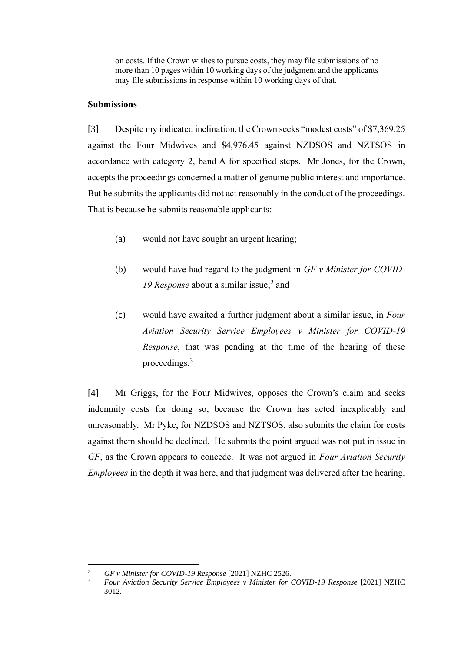on costs. If the Crown wishes to pursue costs, they may file submissions of no more than 10 pages within 10 working days of the judgment and the applicants may file submissions in response within 10 working days of that.

## **Submissions**

[3] Despite my indicated inclination, the Crown seeks "modest costs" of \$7,369.25 against the Four Midwives and \$4,976.45 against NZDSOS and NZTSOS in accordance with category 2, band A for specified steps. Mr Jones, for the Crown, accepts the proceedings concerned a matter of genuine public interest and importance. But he submits the applicants did not act reasonably in the conduct of the proceedings. That is because he submits reasonable applicants:

- (a) would not have sought an urgent hearing;
- (b) would have had regard to the judgment in *GF v Minister for COVID-*19 Response about a similar issue;<sup>2</sup> and
- (c) would have awaited a further judgment about a similar issue, in *Four Aviation Security Service Employees v Minister for COVID-19 Response*, that was pending at the time of the hearing of these proceedings.<sup>3</sup>

[4] Mr Griggs, for the Four Midwives, opposes the Crown's claim and seeks indemnity costs for doing so, because the Crown has acted inexplicably and unreasonably. Mr Pyke, for NZDSOS and NZTSOS, also submits the claim for costs against them should be declined. He submits the point argued was not put in issue in *GF*, as the Crown appears to concede. It was not argued in *Four Aviation Security Employees* in the depth it was here, and that judgment was delivered after the hearing.

<sup>2</sup> *GF v Minister for COVID-19 Response* [2021] NZHC 2526.

<sup>3</sup> *Four Aviation Security Service Employees v Minister for COVID-19 Response* [2021] NZHC 3012.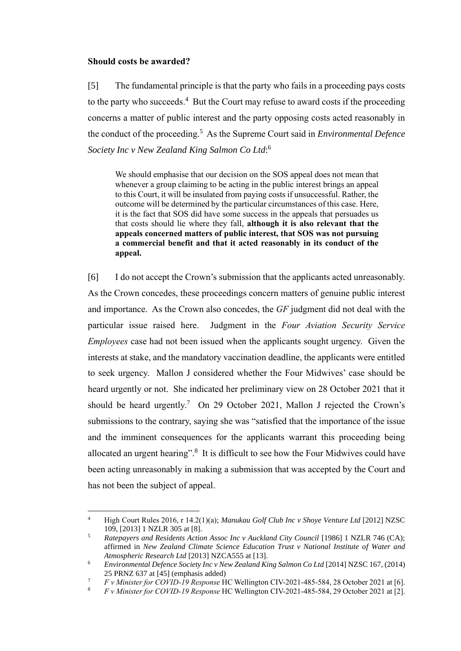#### **Should costs be awarded?**

[5] The fundamental principle is that the party who fails in a proceeding pays costs to the party who succeeds. $4$  But the Court may refuse to award costs if the proceeding concerns a matter of public interest and the party opposing costs acted reasonably in the conduct of the proceeding.<sup>5</sup> As the Supreme Court said in *Environmental Defence Society Inc v New Zealand King Salmon Co Ltd*: 6

We should emphasise that our decision on the SOS appeal does not mean that whenever a group claiming to be acting in the public interest brings an appeal to this Court, it will be insulated from paying costs if unsuccessful. Rather, the outcome will be determined by the particular circumstances of this case. Here, it is the fact that SOS did have some success in the appeals that persuades us that costs should lie where they fall, **although it is also relevant that the appeals concerned matters of public interest, that SOS was not pursuing a commercial benefit and that it acted reasonably in its conduct of the appeal.**

[6] I do not accept the Crown's submission that the applicants acted unreasonably. As the Crown concedes, these proceedings concern matters of genuine public interest and importance. As the Crown also concedes, the *GF* judgment did not deal with the particular issue raised here. Judgment in the *Four Aviation Security Service Employees* case had not been issued when the applicants sought urgency. Given the interests at stake, and the mandatory vaccination deadline, the applicants were entitled to seek urgency. Mallon J considered whether the Four Midwives' case should be heard urgently or not. She indicated her preliminary view on 28 October 2021 that it should be heard urgently.<sup>7</sup> On 29 October 2021, Mallon J rejected the Crown's submissions to the contrary, saying she was "satisfied that the importance of the issue and the imminent consequences for the applicants warrant this proceeding being allocated an urgent hearing".<sup>8</sup> It is difficult to see how the Four Midwives could have been acting unreasonably in making a submission that was accepted by the Court and has not been the subject of appeal.

<sup>4</sup> High Court Rules 2016, r 14.2(1)(a); *Manukau Golf Club Inc v Shoye Venture Ltd* [2012] NZSC 109, [2013] 1 NZLR 305 at [8].

<sup>&</sup>lt;sup>5</sup> *Ratepayers and Residents Action Assoc Inc v Auckland City Council* [1986] 1 NZLR 746 (CA); affirmed in *New Zealand Climate Science Education Trust v National Institute of Water and Atmospheric Research Ltd* [2013] NZCA555 at [13].

<sup>6</sup> *Environmental Defence Society Inc v New Zealand King Salmon Co Ltd* [2014] NZSC 167, (2014) 25 PRNZ 637 at [45] (emphasis added)

<sup>7</sup> *F v Minister for COVID-19 Response* HC Wellington CIV-2021-485-584, 28 October 2021 at [6].

<sup>8</sup> *F v Minister for COVID-19 Response* HC Wellington CIV-2021-485-584, 29 October 2021 at [2].